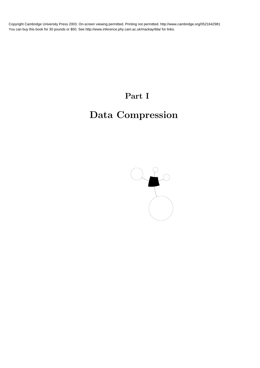# Part I

# Data Compression

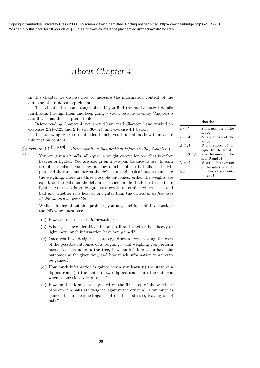## About Chapter 4

In this chapter we discuss how to measure the information content of the outcome of a random experiment.

This chapter has some tough bits. If you find the mathematical details hard, skim through them and keep going – you'll be able to enjoy Chapters 5 and 6 without this chapter's tools.

Before reading Chapter 4, you should have read Chapter 2 and worked on exercises 2.21–2.25 and 2.16 (pp.36–37), and exercise 4.1 below.

The following exercise is intended to help you think about how to measure information content.

Exercise 4.1.<sup>[2, p.69]</sup> – Please work on this problem before reading Chapter 4.

|                                     | Notation                                                               |
|-------------------------------------|------------------------------------------------------------------------|
| $x \in A$                           | $x$ is a member of the                                                 |
| $S \subset A$                       | set .A<br>S is a <i>subset</i> of the<br>set .A                        |
| $\mathcal{S} \subseteq \mathcal{A}$ | S is a subset of, or<br>equal to, the set $A$                          |
| $V = B \cup A$                      | $V$ is the <i>union</i> of the<br>sets $\mathcal{B}$ and $\mathcal{A}$ |
| $V = B \cap A$                      | $V$ is the <i>intersection</i>                                         |
| I.AI                                | of the sets $\beta$ and $\beta$<br>number of elements<br>in set A      |
|                                     |                                                                        |

You are given 12 balls, all equal in weight except for one that is either heavier or lighter. You are also given a two-pan balance to use. In each use of the balance you may put any number of the 12 balls on the left pan, and the same number on the right pan, and push a button to initiate the weighing; there are three possible outcomes: either the weights are equal, or the balls on the left are heavier, or the balls on the left are lighter. Your task is to design a strategy to determine which is the odd ball and whether it is heavier or lighter than the others in as few uses of the balance as possible.

While thinking about this problem, you may find it helpful to consider the following questions:

- (a) How can one measure information?
- (b) When you have identified the odd ball and whether it is heavy or light, how much information have you gained?
- (c) Once you have designed a strategy, draw a tree showing, for each of the possible outcomes of a weighing, what weighing you perform next. At each node in the tree, how much information have the outcomes so far given you, and how much information remains to be gained?
- (d) How much information is gained when you learn (i) the state of a flipped coin; (ii) the states of two flipped coins; (iii) the outcome when a four-sided die is rolled?
- (e) How much information is gained on the first step of the weighing problem if 6 balls are weighed against the other 6? How much is gained if 4 are weighed against 4 on the first step, leaving out 4 balls?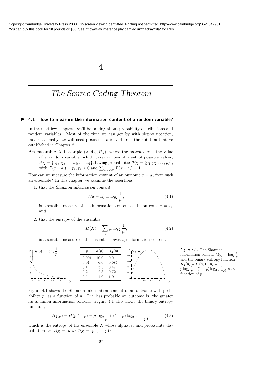4

### The Source Coding Theorem

#### ▶ 4.1 How to measure the information content of a random variable?

In the next few chapters, we'll be talking about probability distributions and random variables. Most of the time we can get by with sloppy notation, but occasionally, we will need precise notation. Here is the notation that we established in Chapter 2.

An ensemble X is a triple  $(x, \mathcal{A}_X, \mathcal{P}_X)$ , where the *outcome* x is the value of a random variable, which takes on one of a set of possible values,  $\mathcal{A}_X = \{a_1, a_2, \ldots, a_i, \ldots, a_I\}$ , having probabilities  $\mathcal{P}_X = \{p_1, p_2, \ldots, p_I\}$ , with  $P(x = a_i) = p_i$ ,  $p_i \ge 0$  and  $\sum_{a_i \in A_X} P(x = a_i) = 1$ .

How can we measure the information content of an outcome  $x = a_i$  from such an ensemble? In this chapter we examine the assertions

1. that the Shannon information content,

$$
h(x = a_i) \equiv \log_2 \frac{1}{p_i},\tag{4.1}
$$

is a sensible measure of the information content of the outcome  $x = a_i$ , and

2. that the entropy of the ensemble,

$$
H(X) = \sum_{i} p_i \log_2 \frac{1}{p_i},
$$
\n(4.2)

is a sensible measure of the ensemble's average information content.



Figure 4.1. The Shannon information content  $h(p) = \log_2 \frac{1}{p}$ and the binary entropy function  $H_2(p) = H(p, 1-p) =$  $p \log_2 \frac{1}{p} + (1-p) \log_2 \frac{1}{(1-p)}$  as a function of  $p$ .

Figure 4.1 shows the Shannon information content of an outcome with probability  $p$ , as a function of  $p$ . The less probable an outcome is, the greater its Shannon information content. Figure 4.1 also shows the binary entropy function,

$$
H_2(p) = H(p, 1-p) = p \log_2 \frac{1}{p} + (1-p) \log_2 \frac{1}{(1-p)},
$$
\n(4.3)

which is the entropy of the ensemble  $X$  whose alphabet and probability distribution are  $A_X = \{a, b\}, \mathcal{P}_X = \{p, (1 - p)\}.$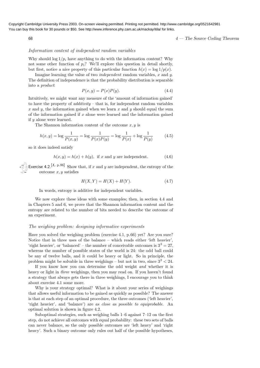$4 -$  The Source Coding Theorem

#### Information content of independent random variables

Why should  $\log 1/p_i$  have anything to do with the information content? Why not some other function of  $p_i$ ? We'll explore this question in detail shortly, but first, notice a nice property of this particular function  $h(x) = \log 1/p(x)$ .

Imagine learning the value of two *independent* random variables, x and  $y$ . The definition of independence is that the probability distribution is separable into a product:

$$
P(x,y) = P(x)P(y).
$$
\n(4.4)

Intuitively, we might want any measure of the 'amount of information gained' to have the property of *additivity* – that is, for independent random variables x and y, the information gained when we learn x and y should equal the sum of the information gained if  $x$  alone were learned and the information gained if y alone were learned.

The Shannon information content of the outcome  $x, y$  is

$$
h(x,y) = \log \frac{1}{P(x,y)} = \log \frac{1}{P(x)P(y)} = \log \frac{1}{P(x)} + \log \frac{1}{P(y)} \tag{4.5}
$$

so it does indeed satisfy

$$
h(x, y) = h(x) + h(y), \text{ if } x \text{ and } y \text{ are independent.}
$$
 (4.6)

Exercise 4.2.<sup>[1, p.86]</sup> Show that, if x and y are independent, the entropy of the outcome  $x, y$  satisfies

$$
H(X,Y) = H(X) + H(Y).
$$
 (4.7)

In words, entropy is additive for independent variables.

We now explore these ideas with some examples; then, in section 4.4 and in Chapters 5 and 6, we prove that the Shannon information content and the entropy are related to the number of bits needed to describe the outcome of an experiment.

#### The weighing problem: designing informative experiments

Have you solved the weighing problem (exercise 4.1, p.66) yet? Are you sure? Notice that in three uses of the balance – which reads either 'left heavier', 'right heavier', or 'balanced' – the number of conceivable outcomes is  $3^3 = 27$ , whereas the number of possible states of the world is 24: the odd ball could be any of twelve balls, and it could be heavy or light. So in principle, the problem might be solvable in three weighings  $-$  but not in two, since  $3^2 < 24$ .

If you know how you can determine the odd weight and whether it is heavy or light in *three* weighings, then you may read on. If you haven't found a strategy that always gets there in three weighings, I encourage you to think about exercise 4.1 some more.

Why is your strategy optimal? What is it about your series of weighings that allows useful information to be gained as quickly as possible? The answer is that at each step of an optimal procedure, the three outcomes ('left heavier', 'right heavier', and 'balance') are as close as possible to equiprobable. An optimal solution is shown in figure 4.2.

Suboptimal strategies, such as weighing balls 1–6 against 7–12 on the first step, do not achieve all outcomes with equal probability: these two sets of balls can never balance, so the only possible outcomes are 'left heavy' and 'right heavy'. Such a binary outcome only rules out half of the possible hypotheses,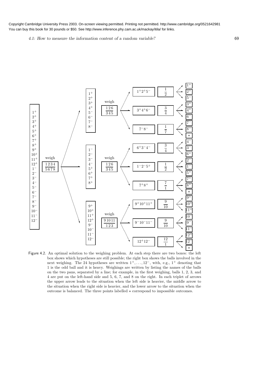4.1: How to measure the information content of a random variable? 69



Figure 4.2. An optimal solution to the weighing problem. At each step there are two boxes: the left box shows which hypotheses are still possible; the right box shows the balls involved in the next weighing. The 24 hypotheses are written  $1^+, \ldots, 12^-$ , with, e.g.,  $1^+$  denoting that 1 is the odd ball and it is heavy. Weighings are written by listing the names of the balls on the two pans, separated by a line; for example, in the first weighing, balls 1, 2, 3, and 4 are put on the left-hand side and 5, 6, 7, and 8 on the right. In each triplet of arrows the upper arrow leads to the situation when the left side is heavier, the middle arrow to the situation when the right side is heavier, and the lower arrow to the situation when the outcome is balanced. The three points labelled  $\star$  correspond to impossible outcomes.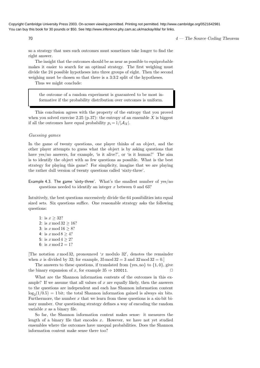$\frac{4}{4}$  The Source Coding Theorem

so a strategy that uses such outcomes must sometimes take longer to find the right answer.

The insight that the outcomes should be as near as possible to equiprobable makes it easier to search for an optimal strategy. The first weighing must divide the 24 possible hypotheses into three groups of eight. Then the second weighing must be chosen so that there is a 3:3:2 split of the hypotheses.

Thus we might conclude:

the outcome of a random experiment is guaranteed to be most informative if the probability distribution over outcomes is uniform.

This conclusion agrees with the property of the entropy that you proved when you solved exercise 2.25 (p.37): the entropy of an ensemble X is biggest if all the outcomes have equal probability  $p_i = 1/|\mathcal{A}_X|$ .

#### Guessing games

In the game of twenty questions, one player thinks of an object, and the other player attempts to guess what the object is by asking questions that have yes/no answers, for example, 'is it alive?', or 'is it human?' The aim is to identify the object with as few questions as possible. What is the best strategy for playing this game? For simplicity, imagine that we are playing the rather dull version of twenty questions called 'sixty-three'.

Example 4.3. The game 'sixty-three'. What's the smallest number of yes/no questions needed to identify an integer  $x$  between 0 and 63?

Intuitively, the best questions successively divide the 64 possibilities into equal sized sets. Six questions suffice. One reasonable strategy asks the following questions:

1: is  $x > 32$ ? 2: is  $x \mod 32 \geq 16$ ? 3: is  $x \mod 16 \geq 8$ ? 4: is  $x \mod 8 \geq 4$ ? 5: is  $x \mod 4 \geq 2$ ? 6: is  $x \mod 2 = 1$ ?

[The notation  $x \mod 32$ , pronounced 'x modulo 32', denotes the remainder when x is divided by 32; for example,  $35 \mod 32 = 3$  and  $32 \mod 32 = 0$ .

The answers to these questions, if translated from  $\{yes, no\}$  to  $\{1, 0\}$ , give the binary expansion of x, for example  $35 \Rightarrow 100011$ .

What are the Shannon information contents of the outcomes in this example? If we assume that all values of  $x$  are equally likely, then the answers to the questions are independent and each has Shannon information content  $\log_2(1/0.5) = 1$  bit; the total Shannon information gained is always six bits. Furthermore, the number  $x$  that we learn from these questions is a six-bit binary number. Our questioning strategy defines a way of encoding the random variable  $x$  as a binary file.

So far, the Shannon information content makes sense: it measures the length of a binary file that encodes  $x$ . However, we have not yet studied ensembles where the outcomes have unequal probabilities. Does the Shannon information content make sense there too?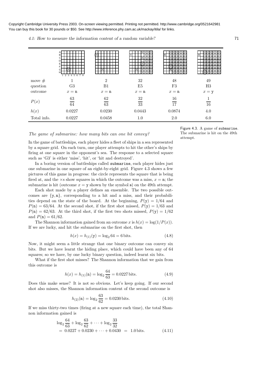4.1: How to measure the information content of a random variable?  $71$ 

|             | B.<br>$1\ 2\ 3\ 4\ 5\ 6\ 7\ 8$ |                |                           |          |         |
|-------------|--------------------------------|----------------|---------------------------|----------|---------|
| move $#$    | 1                              | $\overline{2}$ | 32                        | 48       | 49      |
| question    | G3                             | B1             | E <sub>5</sub>            | F3       | H3      |
| outcome     | $x = n$                        | $x = n$        | $x = n$                   | $x = n$  | $x = y$ |
| P(x)        | 63<br>64                       | 62<br>63       | $32\,$<br>$\overline{33}$ | 16<br>17 | 16      |
| h(x)        | 0.0227                         | 0.0230         | 0.0443                    | 0.0874   | 4.0     |
| Total info. | 0.0227                         | 0.0458         | 1.0                       | 2.0      | 6.0     |

The game of submarine: how many bits can one bit convey?

In the game of battleships, each player hides a fleet of ships in a sea represented by a square grid. On each turn, one player attempts to hit the other's ships by firing at one square in the opponent's sea. The response to a selected square such as 'G3' is either 'miss', 'hit', or 'hit and destroyed'.

In a boring version of battleships called submarine, each player hides just one submarine in one square of an eight-by-eight grid. Figure 4.3 shows a few pictures of this game in progress: the circle represents the square that is being fired at, and the  $\times s$  show squares in which the outcome was a miss,  $x = n$ ; the submarine is hit (outcome  $x = y$  shown by the symbol s) on the 49th attempt.

Each shot made by a player defines an ensemble. The two possible outcomes are  $\{y, n\}$ , corresponding to a hit and a miss, and their probabilities depend on the state of the board. At the beginning,  $P(y) = 1/64$  and  $P(n) = 63/64$ . At the second shot, if the first shot missed,  $P(y) = 1/63$  and  $P(\texttt{n}) = 62/63$ . At the third shot, if the first two shots missed,  $P(\texttt{y}) = 1/62$ and  $P(n) = 61/62$ .

The Shannon information gained from an outcome x is  $h(x) = \log(1/P(x))$ . If we are lucky, and hit the submarine on the first shot, then

$$
h(x) = h_{(1)}(y) = \log_2 64 = 6 \text{ bits.}
$$
\n(4.8)

Now, it might seem a little strange that one binary outcome can convey six bits. But we have learnt the hiding place, which could have been any of 64 squares; so we have, by one lucky binary question, indeed learnt six bits.

What if the first shot misses? The Shannon information that we gain from this outcome is

$$
h(x) = h_{(1)}(\mathbf{n}) = \log_2 \frac{64}{63} = 0.0227 \,\text{bits.}\tag{4.9}
$$

Does this make sense? It is not so obvious. Let's keep going. If our second shot also misses, the Shannon information content of the second outcome is

$$
h_{(2)}(\mathbf{n}) = \log_2 \frac{63}{62} = 0.0230 \,\text{bits.}\tag{4.10}
$$

If we miss thirty-two times (firing at a new square each time), the total Shannon information gained is

$$
\log_2 \frac{64}{63} + \log_2 \frac{63}{62} + \dots + \log_2 \frac{33}{32}
$$
  
= 0.0227 + 0.0230 + \dots + 0.0430 = 1.0 bits. (4.11)

Figure 4.3. A game of submarine. The submarine is hit on the 49th attempt.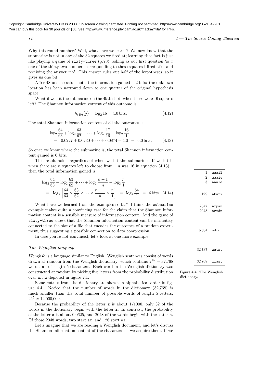$\frac{4}{4}$  — The Source Coding Theorem

Why this round number? Well, what have we learnt? We now know that the submarine is not in any of the 32 squares we fired at; learning that fact is just like playing a game of  $sixty$ -three (p.70), asking as our first question 'is x one of the thirty-two numbers corresponding to these squares I fired at?', and receiving the answer 'no'. This answer rules out half of the hypotheses, so it gives us one bit.

After 48 unsuccessful shots, the information gained is 2 bits: the unknown location has been narrowed down to one quarter of the original hypothesis space.

What if we hit the submarine on the 49th shot, when there were 16 squares left? The Shannon information content of this outcome is

$$
h_{(49)}(y) = \log_2 16 = 4.0 \text{ bits.}
$$
\n(4.12)

The total Shannon information content of all the outcomes is

$$
\log_2 \frac{64}{63} + \log_2 \frac{63}{62} + \dots + \log_2 \frac{17}{16} + \log_2 \frac{16}{1}
$$
  
= 0.0227 + 0.0230 + \dots + 0.0874 + 4.0 = 6.0 bits. (4.13)

So once we know where the submarine is, the total Shannon information content gained is 6 bits.

This result holds regardless of when we hit the submarine. If we hit it when there are *n* squares left to choose from  $- n$  was 16 in equation (4.13) – then the total information gained is:

$$
\log_2 \frac{64}{63} + \log_2 \frac{63}{62} + \dots + \log_2 \frac{n+1}{n} + \log_2 \frac{n}{1}
$$
  
= 
$$
\log_2 \left[ \frac{64}{63} \times \frac{63}{62} \times \dots \times \frac{n+1}{n} \times \frac{n}{1} \right] = \log_2 \frac{64}{1} = 6 \text{ bits.} (4.14)
$$

What have we learned from the examples so far? I think the submarine example makes quite a convincing case for the claim that the Shannon information content is a sensible measure of information content. And the game of sixty-three shows that the Shannon information content can be intimately connected to the size of a file that encodes the outcomes of a random experiment, thus suggesting a possible connection to data compression.

In case you're not convinced, let's look at one more example.

#### The Wenglish language

Wenglish is a language similar to English. Wenglish sentences consist of words drawn at random from the Wenglish dictionary, which contains  $2^{15} = 32,768$ words, all of length 5 characters. Each word in the Wenglish dictionary was constructed at random by picking five letters from the probability distribution over a. . .z depicted in figure 2.1.

Some entries from the dictionary are shown in alphabetical order in figure 4.4. Notice that the number of words in the dictionary (32,768) is much smaller than the total number of possible words of length 5 letters,  $26^5 \simeq 12,000,000$ .

Because the probability of the letter  $z$  is about  $1/1000$ , only 32 of the words in the dictionary begin with the letter z. In contrast, the probability of the letter a is about 0.0625, and 2048 of the words begin with the letter a. Of those 2048 words, two start az, and 128 start aa.

Let's imagine that we are reading a Wenglish document, and let's discuss the Shannon information content of the characters as we acquire them. If we

| 1              | aaail          |
|----------------|----------------|
| $\overline{2}$ | aaaiu          |
| 3              | aaald          |
|                | $\vdots$       |
| 129            | abati          |
|                |                |
| 2047           | azpan          |
| 2048           | aztdn          |
|                | $\ddot{\cdot}$ |
|                | $\vdots$       |
| 16 384         | odrcr          |
|                | $\vdots$       |
|                | $\ddot{\cdot}$ |
| 32737          | zatnt          |
|                |                |
| 32768          | zxast          |

Figure 4.4. The Wenglish dictionary.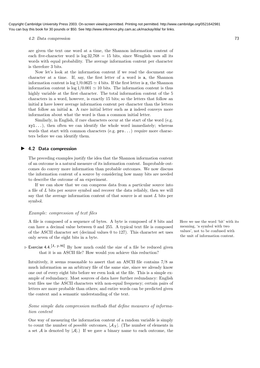4.2: Data compression 73

are given the text one word at a time, the Shannon information content of each five-character word is  $log 32,768 = 15$  bits, since Wenglish uses all its words with equal probability. The average information content per character is therefore 3 bits.

Now let's look at the information content if we read the document one character at a time. If, say, the first letter of a word is a, the Shannon information content is  $\log 1/0.0625 \approx 4$  bits. If the first letter is z, the Shannon information content is  $log 1/0.001 \approx 10$  bits. The information content is thus highly variable at the first character. The total information content of the 5 characters in a word, however, is exactly 15 bits; so the letters that follow an initial z have lower average information content per character than the letters that follow an initial a. A rare initial letter such as z indeed conveys more information about what the word is than a common initial letter.

Similarly, in English, if rare characters occur at the start of the word (e.g. xyl...), then often we can identify the whole word immediately; whereas words that start with common characters (e.g.  $\text{pro...}$ ) require more characters before we can identify them.

#### ▶ 4.2 Data compression

The preceding examples justify the idea that the Shannon information content of an outcome is a natural measure of its information content. Improbable outcomes do convey more information than probable outcomes. We now discuss the information content of a source by considering how many bits are needed to describe the outcome of an experiment.

If we can show that we can compress data from a particular source into a file of L bits per source symbol and recover the data reliably, then we will say that the average information content of that source is at most L bits per symbol.

#### Example: compression of text files

A file is composed of a sequence of bytes. A byte is composed of 8 bits and Here we use the word 'bit' with its can have a decimal value between 0 and 255. A typical text file is composed of the ASCII character set (decimal values 0 to 127). This character set uses only seven of the eight bits in a byte.

 $\triangleright$  Exercise 4.4.<sup>[1, p.86]</sup> By how much could the size of a file be reduced given that it is an ASCII file? How would you achieve this reduction?

Intuitively, it seems reasonable to assert that an ASCII file contains 7/8 as much information as an arbitrary file of the same size, since we already know one out of every eight bits before we even look at the file. This is a simple example of redundancy. Most sources of data have further redundancy: English text files use the ASCII characters with non-equal frequency; certain pairs of letters are more probable than others; and entire words can be predicted given the context and a semantic understanding of the text.

#### Some simple data compression methods that define measures of information content

One way of measuring the information content of a random variable is simply to count the number of *possible* outcomes,  $|\mathcal{A}_X|$ . (The number of elements in a set A is denoted by  $|\mathcal{A}|$ .) If we gave a binary name to each outcome, the meaning, 'a symbol with two values', not to be confused with the unit of information content.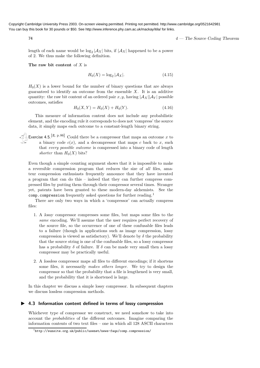$\frac{4}{4}$  — The Source Coding Theorem

length of each name would be  $\log_2|A_X|$  bits, if  $|A_X|$  happened to be a power of 2. We thus make the following definition.

The raw bit content of  $X$  is

$$
H_0(X) = \log_2 |\mathcal{A}_X|.\tag{4.15}
$$

 $H_0(X)$  is a lower bound for the number of binary questions that are always guaranteed to identify an outcome from the ensemble  $X$ . It is an additive quantity: the raw bit content of an ordered pair x, y, having  $|\mathcal{A}_X| |\mathcal{A}_Y|$  possible outcomes, satisfies

$$
H_0(X, Y) = H_0(X) + H_0(Y). \tag{4.16}
$$

This measure of information content does not include any probabilistic element, and the encoding rule it corresponds to does not 'compress' the source data, it simply maps each outcome to a constant-length binary string.

Exercise 4.5.<sup>[2, p.86]</sup> Could there be a compressor that maps an outcome x to a binary code  $c(x)$ , and a decompressor that maps c back to x, such that every possible outcome is compressed into a binary code of length shorter than  $H_0(X)$  bits?

Even though a simple counting argument shows that it is impossible to make a reversible compression program that reduces the size of all files, amateur compression enthusiasts frequently announce that they have invented a program that can do this – indeed that they can further compress compressed files by putting them through their compressor several times. Stranger yet, patents have been granted to these modern-day alchemists. See the comp.compression frequently asked questions for further reading.<sup>1</sup>

There are only two ways in which a 'compressor' can actually compress files:

- 1. A lossy compressor compresses some files, but maps some files to the same encoding. We'll assume that the user requires perfect recovery of the source file, so the occurrence of one of these confusable files leads to a failure (though in applications such as image compression, lossy compression is viewed as satisfactory). We'll denote by  $\delta$  the probability that the source string is one of the confusable files, so a lossy compressor has a probability  $\delta$  of failure. If  $\delta$  can be made very small then a lossy compressor may be practically useful.
- 2. A lossless compressor maps all files to different encodings; if it shortens some files, it necessarily makes others longer. We try to design the compressor so that the probability that a file is lengthened is very small, and the probability that it is shortened is large.

In this chapter we discuss a simple lossy compressor. In subsequent chapters we discuss lossless compression methods.

#### ▶ 4.3 Information content defined in terms of lossy compression

Whichever type of compressor we construct, we need somehow to take into account the probabilities of the different outcomes. Imagine comparing the information contents of two text files – one in which all 128 ASCII characters

<sup>1</sup> http://sunsite.org.uk/public/usenet/news-faqs/comp.compression/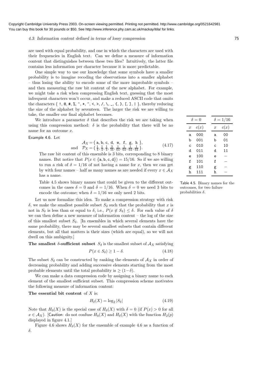#### 4.3: Information content defined in terms of lossy compression 75

are used with equal probability, and one in which the characters are used with their frequencies in English text. Can we define a measure of information content that distinguishes between these two files? Intuitively, the latter file contains less information per character because it is more predictable.

One simple way to use our knowledge that some symbols have a smaller probability is to imagine recoding the observations into a smaller alphabet – thus losing the ability to encode some of the more improbable symbols – and then measuring the raw bit content of the new alphabet. For example, we might take a risk when compressing English text, guessing that the most infrequent characters won't occur, and make a reduced ASCII code that omits the characters  $\{ 1, \mathbb{Q}, \#, \mathcal{X}, \hat{ }^{\bullet}, \star, \tilde{^{\bullet}}, \prec, \gt, , /, \setminus, \_ , \_ , \{, \}, [1, ], \}$ , thereby reducing the size of the alphabet by seventeen. The larger the risk we are willing to take, the smaller our final alphabet becomes.

We introduce a parameter  $\delta$  that describes the risk we are taking when using this compression method:  $\delta$  is the probability that there will be no name for an outcome x.

Example 4.6. Let

$$
\mathcal{A}_X = \{ \text{ a, b, c, d, e, f, g, h} \},
$$
  
and 
$$
\mathcal{P}_X = \{ \frac{1}{4}, \frac{1}{4}, \frac{1}{4}, \frac{3}{16}, \frac{1}{64}, \frac{1}{64}, \frac{1}{64}, \frac{1}{64} \}.
$$
 (4.17)

The raw bit content of this ensemble is 3 bits, corresponding to 8 binary names. But notice that  $P(x \in \{a, b, c, d\}) = 15/16$ . So if we are willing to run a risk of  $\delta = 1/16$  of not having a name for x, then we can get by with four names – half as many names as are needed if every  $x \in A_X$ has a name.

Table 4.5 shows binary names that could be given to the different outcomes in the cases  $\delta = 0$  and  $\delta = 1/16$ . When  $\delta = 0$  we need 3 bits to encode the outcome; when  $\delta = 1/16$  we only need 2 bits.

Let us now formalize this idea. To make a compression strategy with risk δ, we make the smallest possible subset  $S<sub>δ</sub>$  such that the probability that x is not in  $S_\delta$  is less than or equal to  $\delta$ , i.e.,  $P(x \notin S_\delta) \leq \delta$ . For each value of  $\delta$ we can then define a new measure of information content – the log of the size of this smallest subset  $S_{\delta}$ . [In ensembles in which several elements have the same probability, there may be several smallest subsets that contain different elements, but all that matters is their sizes (which are equal), so we will not dwell on this ambiguity.]

The smallest  $\delta$ -sufficient subset  $S_{\delta}$  is the smallest subset of  $\mathcal{A}_X$  satisfying

$$
P(x \in S_{\delta}) \ge 1 - \delta. \tag{4.18}
$$

The subset  $S_\delta$  can be constructed by ranking the elements of  $\mathcal{A}_X$  in order of decreasing probability and adding successive elements starting from the most probable elements until the total probability is  $\geq (1-\delta)$ .

We can make a data compression code by assigning a binary name to each element of the smallest sufficient subset. This compression scheme motivates the following measure of information content:

The essential bit content of  $X$  is:

$$
H_{\delta}(X) = \log_2 |S_{\delta}| \tag{4.19}
$$

Note that  $H_0(X)$  is the special case of  $H_\delta(X)$  with  $\delta = 0$  (if  $P(x) > 0$  for all  $x \in \mathcal{A}_X$ ). [Caution: do not confuse  $H_0(X)$  and  $H_\delta(X)$  with the function  $H_2(p)$ displayed in figure 4.1.]

Figure 4.6 shows  $H_{\delta}(X)$  for the ensemble of example 4.6 as a function of δ.

| $\delta = 0$     |      | $\delta = 1/16$  |      |
|------------------|------|------------------|------|
| $\boldsymbol{x}$ | c(x) | $\boldsymbol{x}$ | c(x) |
| a                | 000  | a                | 00   |
| b                | 001  | b                | 01   |
| $\mathsf{C}$     | 010  | C                | 10   |
| d                | 011  | d                | 11   |
| ė                | 100  | e                |      |
| f                | 101  | f                |      |
| g                | 110  | g                |      |
| h                | 111  | h                |      |

Table 4.5. Binary names for the outcomes, for two failure probabilities  $\delta$ .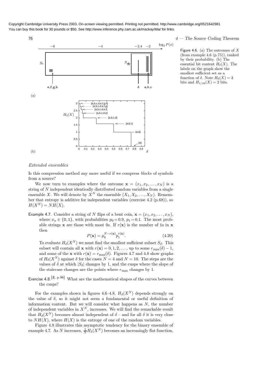

Figure 4.6. (a) The outcomes of  $X$ (from example 4.6 (p.75)), ranked by their probability. (b) The essential bit content  $H_{\delta}(X)$ . The labels on the graph show the smallest sufficient set as a function of  $\delta$ . Note  $H_0(X) = 3$ bits and  $H_{1/16}(X) = 2$  bits.

#### Extended ensembles

Is this compression method any more useful if we compress blocks of symbols from a source?

We now turn to examples where the outcome  $\mathbf{x} = (x_1, x_2, \dots, x_N)$  is a string of N independent identically distributed random variables from a single ensemble X. We will denote by  $X^N$  the ensemble  $(X_1, X_2, \ldots, X_N)$ . Remember that entropy is additive for independent variables (exercise 4.2 (p.68)), so  $H(X^N) = NH(X).$ 

Example 4.7. Consider a string of N flips of a bent coin,  $\mathbf{x} = (x_1, x_2, \dots, x_N)$ , where  $x_n \in \{0, 1\}$ , with probabilities  $p_0 = 0.9$ ,  $p_1 = 0.1$ . The most probable strings **x** are those with most 0s. If  $r(\mathbf{x})$  is the number of 1s in **x** then

$$
P(\mathbf{x}) = p_0^{N-r(\mathbf{x})} p_1^{r(\mathbf{x})}.
$$
\n(4.20)

To evaluate  $H_{\delta}(X^N)$  we must find the smallest sufficient subset  $S_{\delta}$ . This subset will contain all **x** with  $r(\mathbf{x}) = 0, 1, 2, \dots$ , up to some  $r_{\text{max}}(\delta) - 1$ , and some of the **x** with  $r(\mathbf{x}) = r_{\text{max}}(\delta)$ . Figures 4.7 and 4.8 show graphs of  $H_{\delta}(X^N)$  against  $\delta$  for the cases  $N = 4$  and  $N = 10$ . The steps are the values of  $\delta$  at which  $|S_{\delta}|$  changes by 1, and the cusps where the slope of the staircase changes are the points where  $r_{\text{max}}$  changes by 1.

Exercise 4.8.<sup>[2, p.86]</sup> What are the mathematical shapes of the curves between the cusps?

For the examples shown in figures 4.6–4.8,  $H_{\delta}(X^N)$  depends strongly on the value of  $\delta$ , so it might not seem a fundamental or useful definition of information content. But we will consider what happens as  $N$ , the number of independent variables in  $X^N$ , increases. We will find the remarkable result that  $H_{\delta}(X^N)$  becomes almost independent of  $\delta$  – and for all  $\delta$  it is very close to  $NH(X)$ , where  $H(X)$  is the entropy of one of the random variables.

Figure 4.9 illustrates this asymptotic tendency for the binary ensemble of example 4.7. As N increases,  $\frac{1}{N}H_\delta(X^N)$  becomes an increasingly flat function,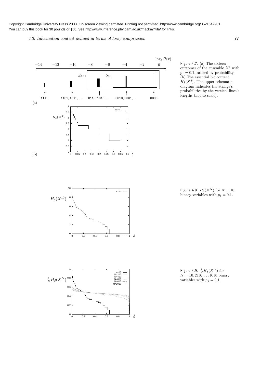4.3: Information content defined in terms of lossy compression 77

 $log_2 P(x)$  $-14$   $-12$   $-10$   $-8$   $-6$   $-4$   $-2$  0  $S_{0.01}$   $S_{0.1}$ ∭  $\overline{\phantom{a}}$  $\uparrow$   $\uparrow$   $\uparrow$   $\uparrow$   $\uparrow$   $\uparrow$  $1111$  1101, 1011, ... 0110, 1010, ... 0010, 0001, ... 0000 (a) 4  $N=4$ 3.5  $H_{\delta}(X^4)$ 3 2.5 2 1.5 1 0.5  $0\frac{L}{0}$ (b) 0 0.05 0.1 0.15 0.2 0.25 0.3 0.35 0.4 0.4  $\delta$ 

Figure 4.7. (a) The sixteen outcomes of the ensemble  $X^4$  with  $p_1 = 0.1$ , ranked by probability. (b) The essential bit content  $H_{\delta}(X^4)$ . The upper schematic diagram indicates the strings's probabilities by the vertical lines's lengths (not to scale).

 $\overline{\phantom{a}}$ 

Figure 4.8.  $H_{\delta}(X^N)$  for  $N = 10$ binary variables with  $p_1 = 0.1$ .





0 0.2 0.4 0.6 0.8 1

 $N=10$ 

δ

 $H_\delta(X^{10})$ 

 $0\frac{1}{0}$ 

2

4

6

8

10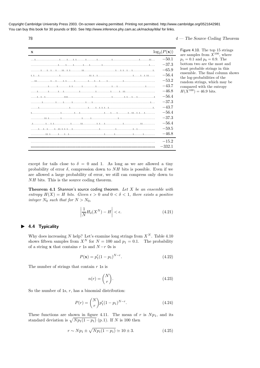| $\mathbf x$                                                                                                                                                                                                                                                                                                                                                                            | $\log_2(P(\mathbf{x}))$ |
|----------------------------------------------------------------------------------------------------------------------------------------------------------------------------------------------------------------------------------------------------------------------------------------------------------------------------------------------------------------------------------------|-------------------------|
| $\ldots 1, \ldots, \ldots, \ldots, 1, \ldots, 1, \ldots, 1, 1, \ldots, \ldots, 1, \ldots, \ldots, 1, \ldots, \ldots, 1, \ldots, \ldots, 1, \ldots, 11, \ldots, 11, \ldots, 11, \ldots, 11, \ldots, 11, \ldots, 11, \ldots, 11, \ldots, 11, \ldots, 11, \ldots, 11, \ldots, 11, \ldots, 11, \ldots, 11, \ldots, 11, \ldots, 11, \ldots, 11, \ldots, 11, \ld$                            | $-50.1$                 |
|                                                                                                                                                                                                                                                                                                                                                                                        | $-37.3$                 |
|                                                                                                                                                                                                                                                                                                                                                                                        | $-65.9$                 |
|                                                                                                                                                                                                                                                                                                                                                                                        | $-56.4$                 |
|                                                                                                                                                                                                                                                                                                                                                                                        | $-53.2$                 |
|                                                                                                                                                                                                                                                                                                                                                                                        | $-43.7$                 |
|                                                                                                                                                                                                                                                                                                                                                                                        | $-46.8$                 |
|                                                                                                                                                                                                                                                                                                                                                                                        | $-56.4$                 |
|                                                                                                                                                                                                                                                                                                                                                                                        | $-37.3$                 |
|                                                                                                                                                                                                                                                                                                                                                                                        | $-43.7$                 |
|                                                                                                                                                                                                                                                                                                                                                                                        | $-56.4$                 |
|                                                                                                                                                                                                                                                                                                                                                                                        | $-37.3$                 |
| $1, \ldots, \ldots, 1, \ldots, 1, 1, \ldots, \ldots, 1, \ldots, \ldots, 1, 1, \ldots, 1, \ldots, \ldots, 1, \ldots, \ldots, 1, \ldots, \ldots, 1, \ldots, \ldots, 1, \ldots, \ldots, 1, \ldots, \ldots, 1, \ldots, \ldots, 1, \ldots, \ldots, 1, \ldots, \ldots, 1, \ldots, \ldots, 1, \ldots, \ldots, 1, \ldots, \ldots, 1, \ldots, \ldots, 1, \ldots, \ldots, 1, \ldots, \ldots, 1,$ | $-56.4$                 |
|                                                                                                                                                                                                                                                                                                                                                                                        | $-59.5$                 |
|                                                                                                                                                                                                                                                                                                                                                                                        | $-46.8$                 |
|                                                                                                                                                                                                                                                                                                                                                                                        | $-15.2$                 |
|                                                                                                                                                                                                                                                                                                                                                                                        | $-332.1$                |

 $\frac{4}{4}$  The Source Coding Theorem

Figure 4.10. The top 15 strings are samples from  $X^{100}$ , where  $p_1 = 0.1$  and  $p_0 = 0.9$ . The bottom two are the most and least probable strings in this ensemble. The final column shows the log-probabilities of the random strings, which may be compared with the entropy  $H(X^{100}) = 46.9$  bits.

except for tails close to  $\delta = 0$  and 1. As long as we are allowed a tiny probability of error  $\delta$ , compression down to  $NH$  bits is possible. Even if we are allowed a large probability of error, we still can compress only down to NH bits. This is the source coding theorem.

**Theorem 4.1 Shannon's source coding theorem.** Let  $X$  be an ensemble with entropy  $H(X) = H$  bits. Given  $\epsilon > 0$  and  $0 < \delta < 1$ , there exists a positive integer  $N_0$  such that for  $N > N_0$ ,

$$
\left|\frac{1}{N}H_{\delta}(X^N) - H\right| < \epsilon. \tag{4.21}
$$

#### ▶ 4.4 Typicality

Why does increasing N help? Let's examine long strings from  $X^N$ . Table 4.10 shows fifteen samples from  $X^N$  for  $N = 100$  and  $p_1 = 0.1$ . The probability of a string x that contains r 1s and  $N-r$  0s is

$$
P(\mathbf{x}) = p_1^r (1 - p_1)^{N - r}.
$$
\n(4.22)

The number of strings that contain  $r$  1s is

$$
n(r) = \binom{N}{r}.\tag{4.23}
$$

So the number of 1s,  $r$ , has a binomial distribution:

$$
P(r) = \binom{N}{r} p_1^r (1 - p_1)^{N - r}.
$$
\n(4.24)

These functions are shown in figure 4.11. The mean of r is  $Np_1$ , and its standard deviation is  $\sqrt{Np_1(1 - p_1)}$  (p.1). If N is 100 then

$$
r \sim Np_1 \pm \sqrt{Np_1(1 - p_1)} \simeq 10 \pm 3. \tag{4.25}
$$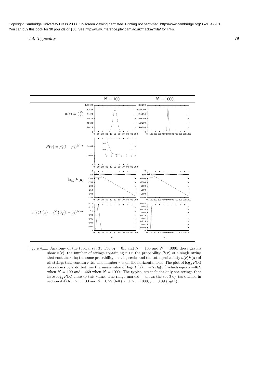4.4: Typicality 79



Figure 4.11. Anatomy of the typical set T. For  $p_1 = 0.1$  and  $N = 100$  and  $N = 1000$ , these graphs show  $n(r)$ , the number of strings containing r 1s; the probability  $P(\mathbf{x})$  of a single string that contains r 1s; the same probability on a log scale; and the total probability  $n(r)P(\mathbf{x})$  of all strings that contain r 1s. The number r is on the horizontal axis. The plot of  $\log_2 P(x)$ also shows by a dotted line the mean value of  $\log_2 P(\mathbf{x}) = -NH_2(p_1)$  which equals -46.9 when  $N = 100$  and  $-469$  when  $N = 1000$ . The typical set includes only the strings that have  $\log_2 P(\mathbf{x})$  close to this value. The range marked T shows the set  $T_{N\beta}$  (as defined in section 4.4) for  $N = 100$  and  $\beta = 0.29$  (left) and  $N = 1000$ ,  $\beta = 0.09$  (right).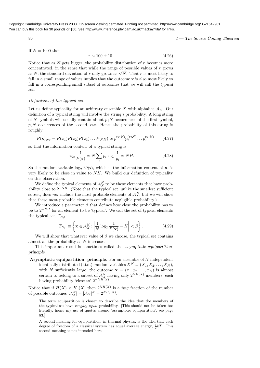80 4 — The Source Coding Theorem

If 
$$
N = 1000
$$
 then

$$
r \sim 100 \pm 10. \tag{4.26}
$$

Notice that as  $N$  gets bigger, the probability distribution of  $r$  becomes more concentrated, in the sense that while the range of possible values of  $r$  grows as N, the standard deviation of r only grows as  $\sqrt{N}$ . That r is most likely to fall in a small range of values implies that the outcome  $x$  is also most likely to fall in a corresponding small subset of outcomes that we will call the typical set.

#### Definition of the typical set

Let us define typicality for an arbitrary ensemble X with alphabet  $A_X$ . Our definition of a typical string will involve the string's probability. A long string of N symbols will usually contain about  $p_1N$  occurrences of the first symbol,  $p_2N$  occurrences of the second, etc. Hence the probability of this string is roughly

$$
P(\mathbf{x})_{\text{typ}} = P(x_1)P(x_2)P(x_3)\dots P(x_N) \simeq p_1^{(p_1N)}p_2^{(p_2N)}\dots p_I^{(p_IN)} \tag{4.27}
$$

so that the information content of a typical string is

$$
\log_2 \frac{1}{P(\mathbf{x})} \simeq N \sum_i p_i \log_2 \frac{1}{p_i} \simeq NH.
$$
\n(4.28)

So the random variable  $\log_2^{-1/P}(\mathbf{x})$ , which is the information content of **x**, is very likely to be close in value to  $NH$ . We build our definition of typicality on this observation.

We define the typical elements of  $\mathcal{A}_X^N$  to be those elements that have probability close to  $2^{-NH}$ . (Note that the typical set, unlike the smallest sufficient subset, does *not* include the most probable elements of  $\mathcal{A}_X^N$ , but we will show that these most probable elements contribute negligible probability.)

We introduce a parameter  $\beta$  that defines how close the probability has to be to  $2^{-NH}$  for an element to be 'typical'. We call the set of typical elements the typical set,  $T_{N\beta}$ :

$$
T_{N\beta} \equiv \left\{ \mathbf{x} \in \mathcal{A}_X^N : \left| \frac{1}{N} \log_2 \frac{1}{P(\mathbf{x})} - H \right| < \beta \right\}. \tag{4.29}
$$

We will show that whatever value of  $\beta$  we choose, the typical set contains almost all the probability as N increases.

This important result is sometimes called the 'asymptotic equipartition' principle.

**'Asymptotic equipartition' principle.** For an ensemble of  $N$  independent identically distributed (i.i.d.) random variables  $X^N \equiv (X_1, X_2, \ldots, X_N)$ , with N sufficiently large, the outcome  $\mathbf{x} = (x_1, x_2, \dots, x_N)$  is almost certain to belong to a subset of  $\mathcal{A}_X^N$  having only  $2^{NH(X)}$  members, each having probability 'close to'  $2^{-NH(X)}$ .

Notice that if  $H(X) < H_0(X)$  then  $2^{NH(X)}$  is a *tiny* fraction of the number of possible outcomes  $|\mathcal{A}_X^N| = |\mathcal{A}_X|^N = 2^{NH_0(X)}$ .

The term equipartition is chosen to describe the idea that the members of the typical set have roughly equal probability. [This should not be taken too literally, hence my use of quotes around 'asymptotic equipartition'; see page 83.]

A second meaning for equipartition, in thermal physics, is the idea that each degree of freedom of a classical system has equal average energy,  $\frac{1}{2}kT$ . This second meaning is not intended here.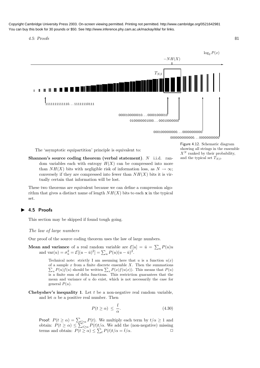4.5: Proofs 81



The 'asymptotic equipartition' principle is equivalent to:

Shannon's source coding theorem (verbal statement).  $N$  i.i.d. random variables each with entropy  $H(X)$  can be compressed into more than  $NH(X)$  bits with negligible risk of information loss, as  $N \to \infty$ ; conversely if they are compressed into fewer than  $NH(X)$  bits it is virtually certain that information will be lost.

These two theorems are equivalent because we can define a compression algorithm that gives a distinct name of length  $NH(X)$  bits to each x in the typical set.

### ▶ 4.5 Proofs

This section may be skipped if found tough going.

#### The law of large numbers

Our proof of the source coding theorem uses the law of large numbers.

**Mean and variance** of a real random variable are  $\mathcal{E}[u] = \bar{u} = \sum_u P(u)u$ and  $\text{var}(u) = \sigma_u^2 = \mathcal{E}[(u - \bar{u})^2] = \sum_u P(u)(u - \bar{u})^2$ .

> Technical note: strictly I am assuming here that u is a function  $u(x)$ of a sample  $x$  from a finite discrete ensemble  $X$ . Then the summations of a sample x from a finite discrete ensemble X. Then the summations  $\sum_{u} P(u) f(u)$  should be written  $\sum_{x} P(x) f(u(x))$ . This means that  $P(u)$ is a finite sum of delta functions. This restriction guarantees that the mean and variance of  $u$  do exist, which is not necessarily the case for general  $P(u)$ .

Chebyshev's inequality 1. Let  $t$  be a non-negative real random variable, and let  $\alpha$  be a positive real number. Then

$$
P(t \ge \alpha) \le \frac{\bar{t}}{\alpha}.\tag{4.30}
$$

Proof:  $P(t \ge \alpha) = \sum_{t \ge \alpha} P(t)$ . We multiply each term by  $t/\alpha \ge 1$  and obtain:  $P(t \ge \alpha) \le \sum_{t \ge \alpha} P(t)t/\alpha$ . We add the (non-negative) missing terms and obtain:  $P(t \geq \alpha) \leq \sum_{t} P(t)t/\alpha = \overline{t}/\alpha$ . Figure 4.12. Schematic diagram showing all strings in the ensemble  $X^N$  ranked by their probability, and the typical set  $T_{N\beta}$ .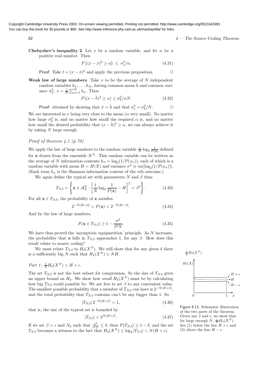82  $4 -$ The Source Coding Theorem

Chebyshev's inequality 2. Let x be a random variable, and let  $\alpha$  be a positive real number. Then

$$
P((x - \bar{x})^2 \ge \alpha) \le \sigma_x^2/\alpha. \tag{4.31}
$$

**Proof:** Take  $t = (x - \bar{x})^2$  and apply the previous proposition.  $\Box$ 

Weak law of large numbers. Take  $x$  to be the average of  $N$  independent random variables  $h_1, \ldots, h_N$ , having common mean  $\bar{h}$  and common variance  $\sigma_h^2$ :  $x = \frac{1}{N} \sum_{n=1}^N h_n$ . Then

$$
P((x - \bar{h})^2 \ge \alpha) \le \sigma_h^2/\alpha N. \tag{4.32}
$$

**Proof:** obtained by showing that  $\bar{x} = \bar{h}$  and that  $\sigma_x^2 = \sigma_h^2/N$ .

We are interested in  $x$  being very close to the mean  $(\alpha$  very small). No matter how large  $\sigma_h^2$  is, and no matter how small the required  $\alpha$  is, and no matter how small the desired probability that  $(x - \bar{h})^2 \ge \alpha$ , we can always achieve it by taking  $N$  large enough.

#### Proof of theorem 4.1 (p.78)

We apply the law of large numbers to the random variable  $\frac{1}{N} \log_2 \frac{1}{P(x)}$  defined for **x** drawn from the ensemble  $X^N$ . This random variable can be written as the average of N information contents  $h_n = \log_2(1/P(x_n))$ , each of which is a random variable with mean  $H = H(X)$  and variance  $\sigma^2 \equiv \text{var}[\log_2(1/P(x_n))].$ (Each term  $h_n$  is the Shannon information content of the *n*th outcome.)

We again define the typical set with parameters N and  $\beta$  thus:

$$
T_{N\beta} = \left\{ \mathbf{x} \in \mathcal{A}_X^N : \left[ \frac{1}{N} \log_2 \frac{1}{P(\mathbf{x})} - H \right]^2 < \beta^2 \right\}.
$$
 (4.33)

For all  $\mathbf{x} \in T_{N\beta}$ , the probability of x satisfies

$$
2^{-N(H+\beta)} < P(\mathbf{x}) < 2^{-N(H-\beta)}.\tag{4.34}
$$

And by the law of large numbers,

$$
P(\mathbf{x} \in T_{N\beta}) \ge 1 - \frac{\sigma^2}{\beta^2 N}.
$$
\n(4.35)

We have thus proved the 'asymptotic equipartition' principle. As  $N$  increases, the probability that x falls in  $T_{N\beta}$  approaches 1, for any  $\beta$ . How does this result relate to source coding?

We must relate  $T_{N\beta}$  to  $H_{\delta}(X^N)$ . We will show that for any given  $\delta$  there is a sufficiently big N such that  $H_{\delta}(X^N) \simeq NH$ .

$$
Part\ 1\colon \frac{1}{N}H_{\delta}(X^N) < H + \epsilon.
$$

The set  $T_{N\beta}$  is not the best subset for compression. So the size of  $T_{N\beta}$  gives an upper bound on  $H_{\delta}$ . We show how small  $H_{\delta}(X^N)$  must be by calculating how big  $T_{N\beta}$  could possibly be. We are free to set  $\beta$  to any convenient value. The smallest possible probability that a member of  $T_{N\beta}$  can have is  $2^{-N(H+\beta)}$ , and the total probability that  $T_{N\beta}$  contains can't be any bigger than 1. So

$$
|T_{N\beta}| \, 2^{-N(H+\beta)} < 1,\tag{4.36}
$$

that is, the size of the typical set is bounded by

$$
|T_{N\beta}| < 2^{N(H+\beta)}.\tag{4.37}
$$

If we set  $\beta = \epsilon$  and  $N_0$  such that  $\frac{\sigma^2}{\epsilon^2 N}$  $\frac{\sigma^2}{\epsilon^2 N} \leq \delta$ , then  $P(T_{N\beta}) \geq 1-\delta$ , and the set  $T_{N\beta}$  becomes a witness to the fact that  $H_{\delta}(X^N) \leq \log_2 |T_{N\beta}| < N(H+\epsilon)$ .



Figure 4.13. Schematic illustration of the two parts of the theorem. Given any  $\delta$  and  $\epsilon$ , we show that for large enough  $N$ ,  $\frac{1}{N}H_\delta(X^N)$ lies (1) below the line  $H + \epsilon$  and (2) above the line  $H - \epsilon$ .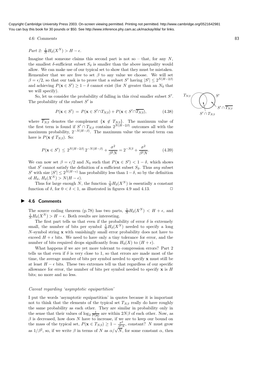4.6: Comments 83

$$
Part \, \, \mathcal{Z} \colon \frac{1}{N} H_{\delta}(X^N) > H - \epsilon.
$$

Imagine that someone claims this second part is not so – that, for any  $N$ , the smallest  $\delta$ -sufficient subset  $S_{\delta}$  is smaller than the above inequality would allow. We can make use of our typical set to show that they must be mistaken. Remember that we are free to set  $\beta$  to any value we choose. We will set  $\beta = \epsilon/2$ , so that our task is to prove that a subset S' having  $|S'| \le 2^{N(H-2\beta)}$ and achieving  $P(\mathbf{x} \in S') \geq 1 - \delta$  cannot exist (for N greater than an  $N_0$  that we will specify).

So, let us consider the probability of falling in this rival smaller subset  $S'$ . The probability of the subset  $S'$  is

$$
P(\mathbf{x} \in S') = P(\mathbf{x} \in S' \cap T_{N\beta}) + P(\mathbf{x} \in S' \cap \overline{T_{N\beta}}),
$$
(4.38)

where  $T_{N\beta}$  denotes the complement  $\{x \notin T_{N\beta}\}\)$ . The maximum value of the first term is found if  $S' \cap T_{N\beta}$  contains  $2^{N(H-2\beta)}$  outcomes all with the maximum probability,  $2^{-N(H-\beta)}$ . The maximum value the second term can have is  $P(\mathbf{x} \notin T_{N\beta})$ . So:

$$
P(\mathbf{x} \in S') \le 2^{N(H-2\beta)} 2^{-N(H-\beta)} + \frac{\sigma^2}{\beta^2 N} = 2^{-N\beta} + \frac{\sigma^2}{\beta^2 N}.
$$
 (4.39)

We can now set  $\beta = \epsilon/2$  and  $N_0$  such that  $P(\mathbf{x} \in S') < 1 - \delta$ , which shows that S' cannot satisfy the definition of a sufficient subset  $S_{\delta}$ . Thus any subset S' with size  $|S'| \le 2^{N(H-\epsilon)}$  has probability less than  $1-\delta$ , so by the definition of  $H_\delta$ ,  $H_\delta(X^N) > N(H - \epsilon)$ .

Thus for large enough N, the function  $\frac{1}{N}H_\delta(X^N)$  is essentially a constant function of  $\delta$ , for  $0 < \delta < 1$ , as illustrated in figures 4.9 and 4.13.

#### ▶ 4.6 Comments

The source coding theorem (p.78) has two parts,  $\frac{1}{N}H_\delta(X^N) < H + \epsilon$ , and  $\frac{1}{N}H_{\delta}(X^N) > H - \epsilon$ . Both results are interesting.

The first part tells us that even if the probability of error  $\delta$  is extremely small, the number of bits per symbol  $\frac{1}{N}H_\delta(X^N)$  needed to specify a long  $N$ -symbol string **x** with vanishingly small error probability does not have to exceed  $H + \epsilon$  bits. We need to have only a tiny tolerance for error, and the number of bits required drops significantly from  $H_0(X)$  to  $(H + \epsilon)$ .

What happens if we are yet more tolerant to compression errors? Part 2 tells us that even if  $\delta$  is very close to 1, so that errors are made most of the time, the average number of bits per symbol needed to specify  $x$  must still be at least  $H - \epsilon$  bits. These two extremes tell us that regardless of our specific allowance for error, the number of bits per symbol needed to specify  $x$  is  $H$ bits; no more and no less.

#### Caveat regarding 'asymptotic equipartition'

I put the words 'asymptotic equipartition' in quotes because it is important not to think that the elements of the typical set  $T_{N\beta}$  really do have roughly the same probability as each other. They are similar in probability only in the sense that their values of  $\log_2 \frac{1}{P(x)}$  are within  $2N\beta$  of each other. Now, as  $\beta$  is decreased, how does N have to increase, if we are to keep our bound on the mass of the typical set,  $P(\mathbf{x} \in T_{N\beta}) \geq 1 - \frac{\sigma^2}{\beta^2 N}$ , constant? N must grow as  $1/\beta^2$ , so, if we write  $\beta$  in terms of N as  $\alpha/\sqrt{N}$ , for some constant  $\alpha$ , then

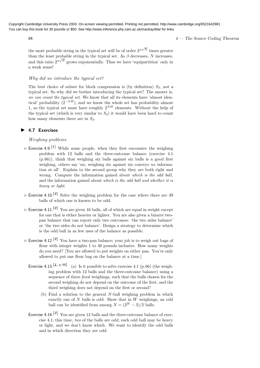$84$   $4$  — The Source Coding Theorem

the most probable string in the typical set will be of order  $2^{\alpha\sqrt{N}}$  times greater than the least probable string in the typical set. As  $\beta$  decreases, N increases, and this ratio  $2^{\alpha\sqrt{N}}$  grows exponentially. Thus we have 'equipartition' only in a weak sense!

#### Why did we introduce the typical set?

The best choice of subset for block compression is (by definition)  $S_{\delta}$ , not a typical set. So why did we bother introducing the typical set? The answer is, we can count the typical set. We know that all its elements have 'almost identical' probability  $(2^{-NH})$ , and we know the whole set has probability almost 1, so the typical set must have roughly  $2^{NH}$  elements. Without the help of the typical set (which is very similar to  $S_{\delta}$ ) it would have been hard to count how many elements there are in  $S_{\delta}$ .

#### ▶ 4.7 Exercises

#### Weighing problems

- $\triangleright$  Exercise 4.9.<sup>[1]</sup> While some people, when they first encounter the weighing problem with 12 balls and the three-outcome balance (exercise 4.1 (p.66)), think that weighing six balls against six balls is a good first weighing, others say 'no, weighing six against six conveys no information at all'. Explain to the second group why they are both right and wrong. Compute the information gained about which is the odd ball, and the information gained about which is the odd ball and whether it is heavy or light.
- $\triangleright$  Exercise 4.10.<sup>[2]</sup> Solve the weighing problem for the case where there are 39 balls of which one is known to be odd.
- $\triangleright$  Exercise 4.11.<sup>[2]</sup> You are given 16 balls, all of which are equal in weight except for one that is either heavier or lighter. You are also given a bizarre twopan balance that can report only two outcomes: 'the two sides balance' or 'the two sides do not balance'. Design a strategy to determine which is the odd ball in as few uses of the balance as possible.
- $\triangleright$  Exercise 4.12.<sup>[2]</sup> You have a two-pan balance; your job is to weigh out bags of flour with integer weights 1 to 40 pounds inclusive. How many weights do you need? [You are allowed to put weights on either pan. You're only allowed to put one flour bag on the balance at a time.]
	- Exercise 4.13.<sup>[4, p.86]</sup> (a) Is it possible to solve exercise 4.1 (p.66) (the weighing problem with 12 balls and the three-outcome balance) using a sequence of three *fixed* weighings, such that the balls chosen for the second weighing do not depend on the outcome of the first, and the third weighing does not depend on the first or second?
		- (b) Find a solution to the general N-ball weighing problem in which exactly one of  $N$  balls is odd. Show that in  $W$  weighings, an odd ball can be identified from among  $N = (3^W - 3)/2$  balls.
	- Exercise 4.14.<sup>[3]</sup> You are given 12 balls and the three-outcome balance of exercise 4.1; this time, two of the balls are odd; each odd ball may be heavy or light, and we don't know which. We want to identify the odd balls and in which direction they are odd.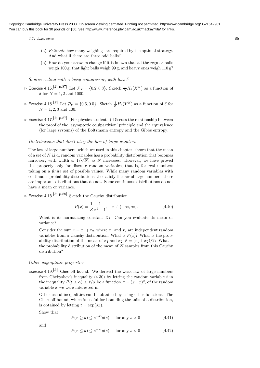4.7: Exercises 85

- (a) Estimate how many weighings are required by the optimal strategy. And what if there are three odd balls?
- (b) How do your answers change if it is known that all the regular balls weigh 100 g, that light balls weigh 99 g, and heavy ones weigh  $110 \text{ g}$ ?

Source coding with a lossy compressor, with loss  $\delta$ 

- $\triangleright$  Exercise 4.15.<sup>[2, p.87]</sup> Let  $\mathcal{P}_X = \{0.2, 0.8\}$ . Sketch  $\frac{1}{N}H_\delta(X^N)$  as a function of  $\delta$  for  $N = 1, 2$  and 1000.
- $\triangleright$  Exercise 4.16.<sup>[2]</sup> Let  $\mathcal{P}_Y = \{0.5, 0.5\}$ . Sketch  $\frac{1}{N} H_\delta(Y^N)$  as a function of  $\delta$  for  $N = 1, 2, 3$  and 100.
- $\triangleright$  Exercise 4.17.<sup>[2, p.87]</sup> (For physics students.) Discuss the relationship between the proof of the 'asymptotic equipartition' principle and the equivalence (for large systems) of the Boltzmann entropy and the Gibbs entropy.

#### Distributions that don't obey the law of large numbers

The law of large numbers, which we used in this chapter, shows that the mean of a set of  $N$  i.i.d. random variables has a probability distribution that becomes narrower, with width  $\propto 1/\sqrt{N}$ , as N increases. However, we have proved this property only for discrete random variables, that is, for real numbers taking on a finite set of possible values. While many random variables with continuous probability distributions also satisfy the law of large numbers, there are important distributions that do not. Some continuous distributions do not have a mean or variance.

 $\triangleright$  Exercise 4.18.<sup>[3, p.88]</sup> Sketch the Cauchy distribution

$$
P(x) = \frac{1}{Z} \frac{1}{x^2 + 1}, \quad x \in (-\infty, \infty).
$$
 (4.40)

What is its normalizing constant  $Z$ ? Can you evaluate its mean or variance?

Consider the sum  $z = x_1 + x_2$ , where  $x_1$  and  $x_2$  are independent random variables from a Cauchy distribution. What is  $P(z)$ ? What is the probability distribution of the mean of  $x_1$  and  $x_2$ ,  $\bar{x} = (x_1 + x_2)/2$ ? What is the probability distribution of the mean of  $N$  samples from this Cauchy distribution?

#### Other asymptotic properties

Exercise 4.19.<sup>[3]</sup> Chernoff bound. We derived the weak law of large numbers from Chebyshev's inequality  $(4.30)$  by letting the random variable t in the inequality  $P(t \ge \alpha) \le \bar{t}/\alpha$  be a function,  $t = (x - \bar{x})^2$ , of the random variable  $x$  we were interested in.

Other useful inequalities can be obtained by using other functions. The Chernoff bound, which is useful for bounding the tails of a distribution, is obtained by letting  $t = \exp(sx)$ .

Show that

$$
P(x \ge a) \le e^{-sa}g(s), \quad \text{for any } s > 0 \tag{4.41}
$$

and

$$
P(x \le a) \le e^{-sa}g(s), \quad \text{for any } s < 0 \tag{4.42}
$$